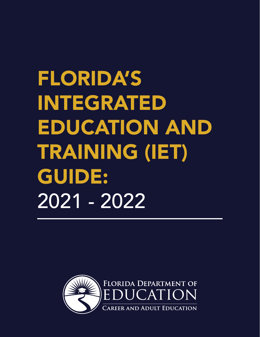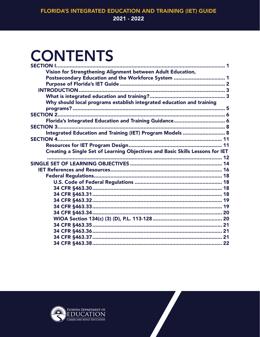### **CONTENTS**

| <b>SECTION 1</b>                                                              |  |
|-------------------------------------------------------------------------------|--|
| Vision for Strengthening Alignment between Adult Education,                   |  |
| Postsecondary Education and the Workforce System  1                           |  |
|                                                                               |  |
|                                                                               |  |
|                                                                               |  |
| Why should local programs establish integrated education and training         |  |
|                                                                               |  |
|                                                                               |  |
| Florida's Integrated Education and Training Guidance 6                        |  |
|                                                                               |  |
| Integrated Education and Training (IET) Program Models  8                     |  |
|                                                                               |  |
|                                                                               |  |
| Creating a Single Set of Learning Objectives and Basic Skills Lessons for IET |  |
|                                                                               |  |
|                                                                               |  |
|                                                                               |  |
|                                                                               |  |
|                                                                               |  |
|                                                                               |  |
|                                                                               |  |
|                                                                               |  |
|                                                                               |  |
| 34 CFR §463.34…………………………………………………………………………… 20                                |  |
|                                                                               |  |
|                                                                               |  |
|                                                                               |  |
|                                                                               |  |
|                                                                               |  |
|                                                                               |  |

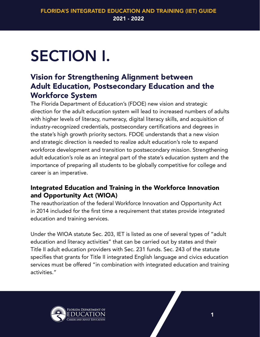## <span id="page-2-0"></span>SECTION I.

### Vision for Strengthening Alignment between Adult Education, Postsecondary Education and the Workforce System

The Florida Department of Education's (FDOE) new vision and strategic direction for the adult education system will lead to increased numbers of adults with higher levels of literacy, numeracy, digital literacy skills, and acquisition of industry-recognized credentials, postsecondary certifications and degrees in the state's high growth priority sectors. FDOE understands that a new vision and strategic direction is needed to realize adult education's role to expand workforce development and transition to postsecondary mission. Strengthening adult education's role as an integral part of the state's education system and the importance of preparing all students to be globally competitive for college and career is an imperative.

### Integrated Education and Training in the Workforce Innovation and Opportunity Act (WIOA)

The reauthorization of the federal Workforce Innovation and Opportunity Act in 2014 included for the first time a requirement that states provide integrated education and training services.

Under the WIOA statute Sec. 203, IET is listed as one of several types of "adult education and literacy activities" that can be carried out by states and their Title II adult education providers with Sec. 231 funds. Sec. 243 of the statute specifies that grants for Title II integrated English language and civics education services must be offered "in combination with integrated education and training activities."

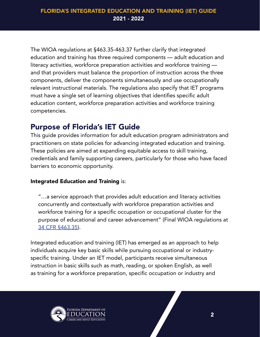<span id="page-3-0"></span>The WIOA regulations at §[463.35-463.37](https://463.35-463.37) further clarify that integrated education and training has three required components — adult education and literacy activities, workforce preparation activities and workforce training and that providers must balance the proportion of instruction across the three components, deliver the components simultaneously and use occupationally relevant instructional materials. The regulations also specify that IET programs must have a single set of learning objectives that identifies specific adult education content, workforce preparation activities and workforce training competencies.

### Purpose of Florida's IET Guide

This guide provides information for adult education program administrators and practitioners on state policies for advancing integrated education and training. These policies are aimed at expanding equitable access to skill training, credentials and family supporting careers, particularly for those who have faced barriers to economic opportunity.

### Integrated Education and Training is:

"…a service approach that provides adult education and literacy activities concurrently and contextually with workforce preparation activities and workforce training for a specific occupation or occupational cluster for the purpose of educational and career advancement" (Final WIOA regulations at [34 CFR §463.35\)](https://www.govregs.com/regulations/ex).

Integrated education and training (IET) has emerged as an approach to help individuals acquire key basic skills while pursuing occupational or industryspecific training. Under an IET model, participants receive simultaneous instruction in basic skills such as math, reading, or spoken English, as well as training for a workforce preparation, specific occupation or industry and

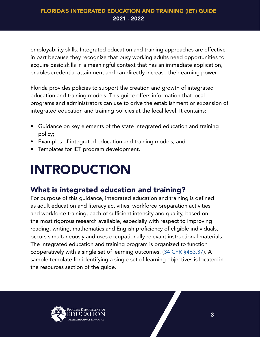<span id="page-4-0"></span>employability skills. Integrated education and training approaches are effective in part because they recognize that busy working adults need opportunities to acquire basic skills in a meaningful context that has an immediate application, enables credential attainment and can directly increase their earning power.

Florida provides policies to support the creation and growth of integrated education and training models. This guide offers information that local programs and administrators can use to drive the establishment or expansion of integrated education and training policies at the local level. It contains:

- Guidance on key elements of the state integrated education and training policy;
- Examples of integrated education and training models; and
- Templates for IET program development.

### INTRODUCTION

### What is integrated education and training?

For purpose of this guidance, integrated education and training is defined as adult education and literacy activities, workforce preparation activities and workforce training, each of sufficient intensity and quality, based on the most rigorous research available, especially with respect to improving reading, writing, mathematics and English proficiency of eligible individuals, occurs simultaneously and uses occupationally relevant instructional materials. The integrated education and training program is organized to function cooperatively with a single set of learning outcomes. [\(34 CFR §463.37](https://www.govregs.com/regulations/title34_chapterIV_part463_subpartD_section463.37)). A sample template for identifying a single set of learning objectives is located in the resources section of the guide.

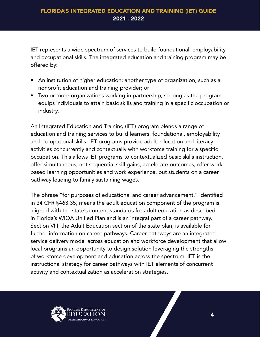IET represents a wide spectrum of services to build foundational, employability and occupational skills. The integrated education and training program may be offered by:

- An institution of higher education; another type of organization, such as a nonprofit education and training provider; or
- Two or more organizations working in partnership, so long as the program equips individuals to attain basic skills and training in a specific occupation or industry.

An Integrated Education and Training (IET) program blends a range of education and training services to build learners' foundational, employability and occupational skills. IET programs provide adult education and literacy activities concurrently and contextually with workforce training for a specific occupation. This allows IET programs to contextualized basic skills instruction, offer simultaneous, not sequential skill gains, accelerate outcomes, offer workbased learning opportunities and work experience, put students on a career pathway leading to family sustaining wages.

The phrase "for purposes of educational and career advancement," identified in 34 CFR §463.35, means the adult education component of the program is aligned with the state's content standards for adult education as described in Florida's WIOA Unified Plan and is an integral part of a career pathway. Section VIII, the Adult Education section of the state plan, is available for further information on career pathways. Career pathways are an integrated service delivery model across education and workforce development that allow local programs an opportunity to design solution leveraging the strengths of workforce development and education across the spectrum. IET is the instructional strategy for career pathways with IET elements of concurrent activity and contextualization as acceleration strategies.

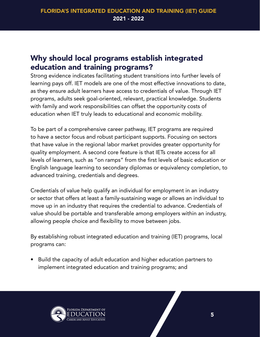### <span id="page-6-0"></span>Why should local programs establish integrated education and training programs?

Strong evidence indicates facilitating student transitions into further levels of learning pays off. IET models are one of the most effective innovations to date, as they ensure adult learners have access to credentials of value. Through IET programs, adults seek goal-oriented, relevant, practical knowledge. Students with family and work responsibilities can offset the opportunity costs of education when IET truly leads to educational and economic mobility.

To be part of a comprehensive career pathway, IET programs are required to have a sector focus and robust participant supports. Focusing on sectors that have value in the regional labor market provides greater opportunity for quality employment. A second core feature is that IETs create access for all levels of learners, such as "on ramps" from the first levels of basic education or English language learning to secondary diplomas or equivalency completion, to advanced training, credentials and degrees.

Credentials of value help qualify an individual for employment in an industry or sector that offers at least a family-sustaining wage or allows an individual to move up in an industry that requires the credential to advance. Credentials of value should be portable and transferable among employers within an industry, allowing people choice and flexibility to move between jobs.

By establishing robust integrated education and training (IET) programs, local programs can:

• Build the capacity of adult education and higher education partners to implement integrated education and training programs; and

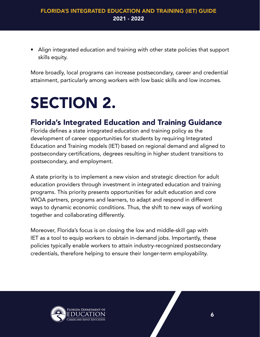<span id="page-7-0"></span>• Align integrated education and training with other state policies that support skills equity.

More broadly, local programs can increase postsecondary, career and credential attainment, particularly among workers with low basic skills and low incomes.

### SECTION 2.

### Florida's Integrated Education and Training Guidance

Florida defines a state integrated education and training policy as the development of career opportunities for students by requiring Integrated Education and Training models (IET) based on regional demand and aligned to postsecondary certifications, degrees resulting in higher student transitions to postsecondary, and employment.

A state priority is to implement a new vision and strategic direction for adult education providers through investment in integrated education and training programs. This priority presents opportunities for adult education and core WIOA partners, programs and learners, to adapt and respond in different ways to dynamic economic conditions. Thus, the shift to new ways of working together and collaborating differently.

Moreover, Florida's focus is on closing the low and middle-skill gap with IET as a tool to equip workers to obtain in-demand jobs. Importantly, these policies typically enable workers to attain industry-recognized postsecondary credentials, therefore helping to ensure their longer-term employability.

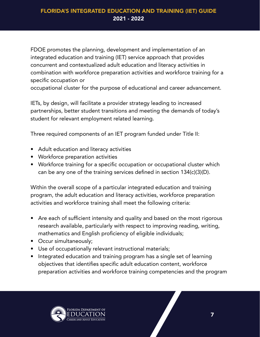FDOE promotes the planning, development and implementation of an integrated education and training (IET) service approach that provides concurrent and contextualized adult education and literacy activities in combination with workforce preparation activities and workforce training for a specific occupation or

occupational cluster for the purpose of educational and career advancement.

IETs, by design, will facilitate a provider strategy leading to increased partnerships, better student transitions and meeting the demands of today's student for relevant employment related learning.

Three required components of an IET program funded under Title II:

- Adult education and literacy activities
- Workforce preparation activities
- Workforce training for a specific occupation or occupational cluster which can be any one of the training services defined in section 134(c)(3)(D).

Within the overall scope of a particular integrated education and training program, the adult education and literacy activities, workforce preparation activities and workforce training shall meet the following criteria:

- Are each of sufficient intensity and quality and based on the most rigorous research available, particularly with respect to improving reading, writing, mathematics and English proficiency of eligible individuals;
- Occur simultaneously;
- Use of occupationally relevant instructional materials;
- Integrated education and training program has a single set of learning objectives that identifies specific adult education content, workforce preparation activities and workforce training competencies and the program

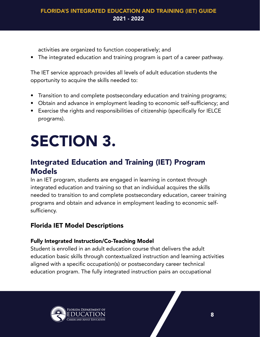<span id="page-9-0"></span>activities are organized to function cooperatively; and

• The integrated education and training program is part of a career pathway.

The IET service approach provides all levels of adult education students the opportunity to acquire the skills needed to:

- Transition to and complete postsecondary education and training programs;
- Obtain and advance in employment leading to economic self-sufficiency; and
- Exercise the rights and responsibilities of citizenship (specifically for IELCE programs).

## SECTION 3.

### Integrated Education and Training (IET) Program Models

In an IET program, students are engaged in learning in context through integrated education and training so that an individual acquires the skills needed to transition to and complete postsecondary education, career training programs and obtain and advance in employment leading to economic selfsufficiency.

### Florida IET Model Descriptions

### Fully Integrated Instruction/Co-Teaching Model

Student is enrolled in an adult education course that delivers the adult education basic skills through contextualized instruction and learning activities aligned with a specific occupation(s) or postsecondary career technical education program. The fully integrated instruction pairs an occupational

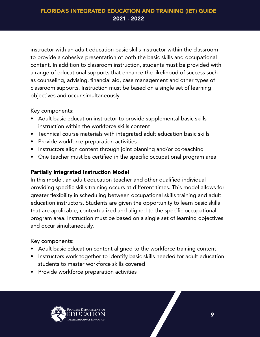instructor with an adult education basic skills instructor within the classroom to provide a cohesive presentation of both the basic skills and occupational content. In addition to classroom instruction, students must be provided with a range of educational supports that enhance the likelihood of success such as counseling, advising, financial aid, case management and other types of classroom supports. Instruction must be based on a single set of learning objectives and occur simultaneously.

Key components:

- Adult basic education instructor to provide supplemental basic skills instruction within the workforce skills content
- Technical course materials with integrated adult education basic skills
- Provide workforce preparation activities
- Instructors align content through joint planning and/or co-teaching
- One teacher must be certified in the specific occupational program area

### Partially Integrated Instruction Model

In this model, an adult education teacher and other qualified individual providing specific skills training occurs at different times. This model allows for greater flexibility in scheduling between occupational skills training and adult education instructors. Students are given the opportunity to learn basic skills that are applicable, contextualized and aligned to the specific occupational program area. Instruction must be based on a single set of learning objectives and occur simultaneously.

Key components:

- Adult basic education content aligned to the workforce training content
- Instructors work together to identify basic skills needed for adult education students to master workforce skills covered
- Provide workforce preparation activities

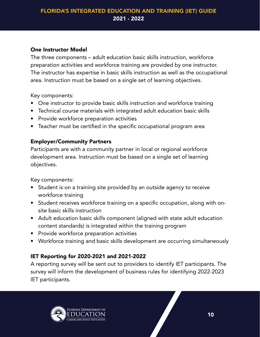#### One Instructor Model

The three components – adult education basic skills instruction, workforce preparation activities and workforce training are provided by one instructor. The instructor has expertise in basic skills instruction as well as the occupational area. Instruction must be based on a single set of learning objectives.

Key components:

- One instructor to provide basic skills instruction and workforce training
- Technical course materials with integrated adult education basic skills
- Provide workforce preparation activities
- Teacher must be certified in the specific occupational program area

### Employer/Community Partners

Participants are with a community partner in local or regional workforce development area. Instruction must be based on a single set of learning objectives.

Key components:

- Student is on a training site provided by an outside agency to receive workforce training
- Student receives workforce training on a specific occupation, along with onsite basic skills instruction
- Adult education basic skills component (aligned with state adult education content standards) is integrated within the training program
- Provide workforce preparation activities
- Workforce training and basic skills development are occurring simultaneously

### IET Reporting for 2020-2021 and 2021-2022

A reporting survey will be sent out to providers to identify IET participants. The survey will inform the development of business rules for identifying 2022-2023 IET participants.

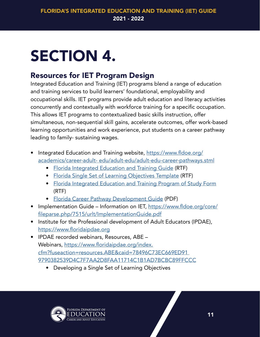## <span id="page-12-0"></span>SECTION 4.

### Resources for IET Program Design

Integrated Education and Training (IET) programs blend a range of education and training services to build learners' foundational, employability and occupational skills. IET programs provide adult education and literacy activities concurrently and contextually with workforce training for a specific occupation. This allows IET programs to contextualized basic skills instruction, offer simultaneous, non-sequential skill gains, accelerate outcomes, offer work-based learning opportunities and work experience, put students on a career pathway leading to family- sustaining wages.

- Integrated Education and Training website, [https://www.fldoe.org/](https://www.fldoe.org/academics/career-adult-edu/adult-edu/adult-edu-career-pathways.stml) [academics/career-adult- edu/adult-edu/adult-edu-career-pathways.stml](https://www.fldoe.org/academics/career-adult-edu/adult-edu/adult-edu-career-pathways.stml) 
	- [Florida Integrated Education and Training Guide](https://www.fldoe.org/core/fileparse.php/7522/urlt/FL-IntegratedEduTrainingGuide.rtf) (RTF)
	- [Florida Single Set of Learning Objectives Template](https://www.fldoe.org/core/fileparse.php/7522/urlt/FL-SingleSetLearningObjectivesTemplate.rtf) (RTF)
	- [Florida Integrated Education and Training Program of Study Form](https://www.fldoe.org/core/fileparse.php/7522/urlt/FL-IntegratedEduTrainingProgramStudyForm.rtf) (RTF)
	- [Florida Career Pathway Development Guide](https://www.fldoe.org/core/fileparse.php/7522/urlt/FL-CareerPathwayDevGuide.pdf) (PDF)
- Implementation Guide Information on IET, [https://www.fldoe.org/core/](https://www.fldoe.org/core/fileparse.php/7515/urlt/ImplementationGuide.pdf) [fileparse.php/7515/urlt/ImplementationGuide.pdf](https://www.fldoe.org/core/fileparse.php/7515/urlt/ImplementationGuide.pdf)
- Institute for the Professional development of Adult Educators (IPDAE), <https://www.floridaipdae.org>
- IPDAE recorded webinars, Resources, ABE Webinars, [https://www.floridaipdae.org/index.](https://www.floridaipdae.org/index.cfm?fuseaction=resources.ABE&caid=78496C73EC669ED91 9790382539D4C) [cfm?fuseaction=resources.ABE&caid=78496C73EC669ED91](https://www.floridaipdae.org/index.cfm?fuseaction=resources.ABE&caid=78496C73EC669ED91 9790382539D4C)  [9790382539D4C7F7AA2D8FAA11714C1B1AD7BCBC89FFCCC](https://www.floridaipdae.org/index.cfm?fuseaction=resources.ABE&caid=78496C73EC669ED91 9790382539D4C)
	- Developing a Single Set of Learning Objectives

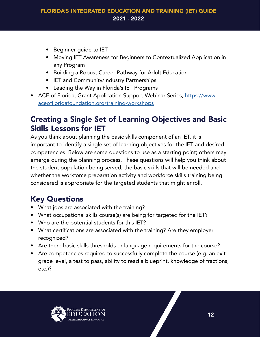- <span id="page-13-0"></span>• Beginner guide to IET
- Moving IET Awareness for Beginners to Contextualized Application in any Program
- Building a Robust Career Pathway for Adult Education
- IET and Community/Industry Partnerships
- Leading the Way in Florida's IET Programs
- ACE of Florida, Grant Application Support Webinar Series, [https://www.](https://www.aceoffloridafoundation.org/training-workshops ) [aceoffloridafoundation.org/training-workshops](https://www.aceoffloridafoundation.org/training-workshops )

### Creating a Single Set of Learning Objectives and Basic Skills Lessons for IET

As you think about planning the basic skills component of an IET, it is important to identify a single set of learning objectives for the IET and desired competencies. Below are some questions to use as a starting point; others may emerge during the planning process. These questions will help you think about the student population being served, the basic skills that will be needed and whether the workforce preparation activity and workforce skills training being considered is appropriate for the targeted students that might enroll.

### Key Questions

- What jobs are associated with the training?
- What occupational skills course(s) are being for targeted for the IET?
- Who are the potential students for this IET?
- What certifications are associated with the training? Are they employer recognized?
- Are there basic skills thresholds or language requirements for the course?
- Are competencies required to successfully complete the course (e.g. an exit grade level, a test to pass, ability to read a blueprint, knowledge of fractions, etc.)?

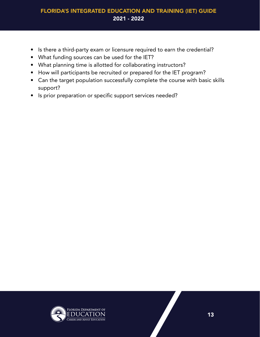- Is there a third-party exam or licensure required to earn the credential?
- What funding sources can be used for the IET?
- What planning time is allotted for collaborating instructors?
- How will participants be recruited or prepared for the IET program?
- Can the target population successfully complete the course with basic skills support?
- Is prior preparation or specific support services needed?

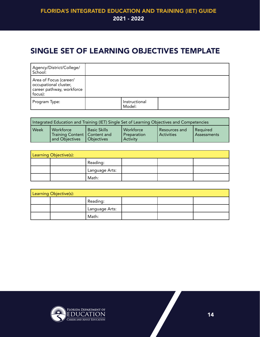### <span id="page-15-0"></span>SINGLE SET OF LEARNING OBJECTIVES TEMPLATE

| Agency/District/College/<br>School:                                                     |                         |  |
|-----------------------------------------------------------------------------------------|-------------------------|--|
| Area of Focus (career/<br>occupational cluster,<br>career pathway, workforce<br>focus): |                         |  |
| Program Type:                                                                           | Instructional<br>Model: |  |

| Integrated Education and Training (IET) Single Set of Learning Objectives and Competencies |                                                               |                                            |                                             |                                 |                           |
|--------------------------------------------------------------------------------------------|---------------------------------------------------------------|--------------------------------------------|---------------------------------------------|---------------------------------|---------------------------|
| Week                                                                                       | Workforce<br>Training Content   Content and<br>and Objectives | <b>Basic Skills</b><br><b>I</b> Objectives | Workforce<br>Preparation<br><b>Activity</b> | l Resources and<br>l Activities | l Required<br>Assessments |

| Learning Objective(s): |  |                |  |  |  |
|------------------------|--|----------------|--|--|--|
|                        |  | Reading:       |  |  |  |
|                        |  | Language Arts: |  |  |  |
|                        |  | Math:          |  |  |  |

| Learning Objective(s): |  |                |  |  |  |
|------------------------|--|----------------|--|--|--|
|                        |  | Reading:       |  |  |  |
|                        |  | Language Arts: |  |  |  |
|                        |  | Math:          |  |  |  |

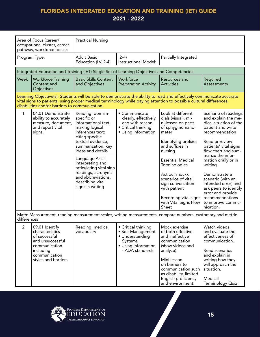|                                                                                                                           | Area of Focus (career/<br>occupational cluster, career<br>pathway, workforce focus):           | <b>Practical Nursing</b>                                                                                        |                                                                                                         |                                                                                                                                                                                                                                            |                                                                                                              |  |
|---------------------------------------------------------------------------------------------------------------------------|------------------------------------------------------------------------------------------------|-----------------------------------------------------------------------------------------------------------------|---------------------------------------------------------------------------------------------------------|--------------------------------------------------------------------------------------------------------------------------------------------------------------------------------------------------------------------------------------------|--------------------------------------------------------------------------------------------------------------|--|
| Program Type:                                                                                                             |                                                                                                | <b>Adult Basic</b><br>Education (LV. 2-4)                                                                       | $2-4)$<br>Instructional Model:                                                                          | Partially Integrated                                                                                                                                                                                                                       |                                                                                                              |  |
|                                                                                                                           | Integrated Education and Training (IET) Single Set of Learning Objectives and Competencies     |                                                                                                                 |                                                                                                         |                                                                                                                                                                                                                                            |                                                                                                              |  |
| Week                                                                                                                      | <b>Workforce Training</b><br>Content and<br>Objectives                                         | <b>Basic Skills Content</b><br>and Objectives                                                                   | Workforce<br><b>Preparation Activity</b>                                                                | Resources and<br><b>Activities</b>                                                                                                                                                                                                         | Required<br><b>Assessments</b>                                                                               |  |
|                                                                                                                           | disabilities and/or barriers to communication.                                                 |                                                                                                                 |                                                                                                         | Learning Objective(s): Students will be able to demonstrate the ability to read and effectively communicate accurate<br>vital signs to patients, using proper medical terminology while paying attention to possible cultural differences, |                                                                                                              |  |
| 1                                                                                                                         | 04.01 Demonstrate<br>ability to accurately<br>measure, document,<br>and report vital<br>signs. | Reading: domain-<br>specific or<br>informational text,<br>making logical<br>inferences text;<br>citing specific | • Communicate<br>clearly, effectively<br>and with reason.<br>• Critical thinking<br>• Using information | Look at different<br>dials (visual), mi-<br>ni-lesson on parts<br>of sphygmomano-<br>meter                                                                                                                                                 | Scenario of readings<br>and explain the me-<br>dical situation of the<br>patient and write<br>recommendation |  |
|                                                                                                                           |                                                                                                | textual evidence,<br>summarization, key<br>ideas and details                                                    |                                                                                                         | Identifying prefixes<br>and suffixes in<br>nursing                                                                                                                                                                                         | Read or review<br>patients' vital signs<br>flow chart and sum-                                               |  |
|                                                                                                                           |                                                                                                | Language Arts:<br>interpreting and<br>articulating vital sign                                                   |                                                                                                         | <b>Essential Medical</b><br>Terminologies                                                                                                                                                                                                  | marize the infor-<br>mation orally or in<br>writing.                                                         |  |
|                                                                                                                           |                                                                                                | readings, acronyms<br>and abbreviations,<br>describing vital<br>signs in writing                                |                                                                                                         | Act our mockk<br>scenarios of vital<br>sign conversation<br>with patient                                                                                                                                                                   | Demonstrate a<br>scenario (with an<br>intended error) and<br>ask peers to identify                           |  |
|                                                                                                                           |                                                                                                |                                                                                                                 |                                                                                                         | Recording vital signs<br>with Vital Signs Flow<br>Sheet                                                                                                                                                                                    | error and provide<br>recommendations<br>to improve commu-<br>nication.                                       |  |
| Math: Measurement, reading measurement scales, writing measurements, compare numbers, customary and metric<br>differences |                                                                                                |                                                                                                                 |                                                                                                         |                                                                                                                                                                                                                                            |                                                                                                              |  |
| $\overline{2}$                                                                                                            | 09.01 Identify<br>characteristics<br>of successful<br>and unsuccessful<br>communication        | Reading: medical<br>vocabulary                                                                                  | • Critical thinking<br>• Self-Management<br>• Understanding<br>Systems<br>• Using information           | Mock exercise<br>of both effective<br>and ineffective<br>communication<br>(show videos and                                                                                                                                                 | Watch videos<br>and evaluate the<br>effectiveness of<br>communication.                                       |  |
|                                                                                                                           | including<br>communication<br>styles and barriers                                              |                                                                                                                 | - ADA standards                                                                                         | analyze)<br>Mini lesson<br>on barriers to<br>communication such                                                                                                                                                                            | Read scenarios<br>and explain in<br>writing how they<br>will approach the<br>situation.                      |  |
|                                                                                                                           |                                                                                                |                                                                                                                 |                                                                                                         | as disability, limited<br>English proficiency<br>and environment.                                                                                                                                                                          | Medical<br>Terminology Quiz                                                                                  |  |

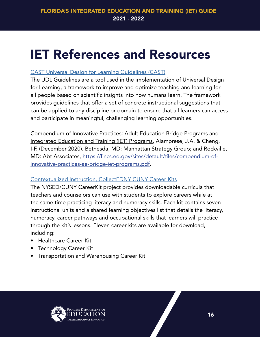### <span id="page-17-0"></span>IET References and Resources

### [CAST Universal Design for Learning Guidelines \(CAST\)](https://udlguidelines.cast.org/)

The UDL Guidelines are a tool used in the implementation of Universal Design for Learning, a framework to improve and optimize teaching and learning for all people based on scientific insights into how humans learn. The framework provides guidelines that offer a set of concrete instructional suggestions that can be applied to any discipline or domain to ensure that all learners can access and participate in meaningful, challenging learning opportunities.

Compendium of Innovative Practices: Adult Education Bridge Programs and Integrated Education and Training (IET) Programs, Alamprese, J.A. & Cheng, I-F. (December 2020). Bethesda, MD: Manhattan Strategy Group; and Rockville, MD: Abt Associates, [https://lincs.ed.gov/sites/default/files/compendium-of](https://lincs.ed.gov/sites/default/files/compendium-of-innovative-practices-ae-bridge-iet-programs.pdf)[innovative-practices-ae-bridge-iet-programs.pdf.](https://lincs.ed.gov/sites/default/files/compendium-of-innovative-practices-ae-bridge-iet-programs.pdf)

### [Contextualized Instruction, CollectEDNY CUNY Career Kits](https://www.cuny.edu/academics/academic-programs/model-programs/cuny-college-transition-programs/adult-literacy/cuny-careerkit-for-hse-esl-learners/)

The NYSED/CUNY CareerKit project provides downloadable curricula that teachers and counselors can use with students to explore careers while at the same time practicing literacy and numeracy skills. Each kit contains seven instructional units and a shared learning objectives list that details the literacy, numeracy, career pathways and occupational skills that learners will practice through the kit's lessons. Eleven career kits are available for download, including:

- Healthcare Career Kit
- Technology Career Kit
- Transportation and Warehousing Career Kit

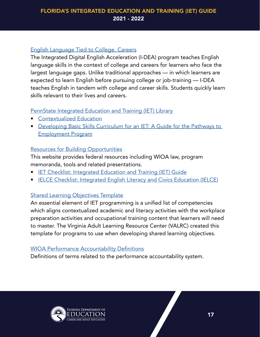#### [English Language Tied to College, Careers](https://www.sbctc.edu/colleges-staff/programs-services/i-dea/default.aspx)

The Integrated Digital English Acceleration (I-DEA) program teaches English language skills in the context of college and careers for learners who face the largest language gaps. Unlike traditional approaches — in which learners are expected to learn English before pursuing college or job-training — I-DEA teaches English in tandem with college and career skills. Students quickly learn skills relevant to their lives and careers.

### [PennState Integrated Education and Training \(IET\) Library](https://sites.psu.edu/pathwaystoemployment/add)

- [Contextualized Education](https://sites.psu.edu/pathwaystoemployment/additional-iet-resource)
- [Developing Basic Skills Curriculum for an IET: A Guide for the Pathways to](https://sites.psu.edu/pathwaystoemployment/files/2020/06/IET-Guide_Revised-9-19-19-1.pdf)  [Employment Program](https://sites.psu.edu/pathwaystoemployment/files/2020/06/IET-Guide_Revised-9-19-19-1.pdf)

### [Resources for Building Opportunities](https://lincs.ed.gov/program/building-opportunities-ielce/resources)

This website provides federal resources including WIOA law, program memoranda, tools and related presentations.

- [IET Checklist: Integrated Education and Training \(IET\) Guide](https://lincs.ed.gov/sites/default/files/IET_checklist508FINAL_0.pdf)
- [IELCE Checklist: Integrated English Literacy and Civics Education \(IELCE\)](https://lincs.ed.gov/sites/default/files/IELCE_checklistFINAL508_0.pdf)

### [Shared Learning Objectives Template](https://gettherefl.box.com/s/2xpf7d2knjxtxc1yqpxr3e28kjgj3hg6)

An essential element of IET programming is a unified list of competencies which aligns contextualized academic and literacy activities with the workplace preparation activities and occupational training content that learners will need to master. The Virginia Adult Learning Resource Center (VALRC) created this template for programs to use when developing shared learning objectives.

#### [WIOA Performance Accountability Definitions](https://www.dol.gov/agencies/eta/performance/definitions#%3A%7E%3Atext%3DPeriod%20of%20participation%20%2D%20for%20all%2Cof%20exit%20from%20the%20program)

Definitions of terms related to the performance accountability system.

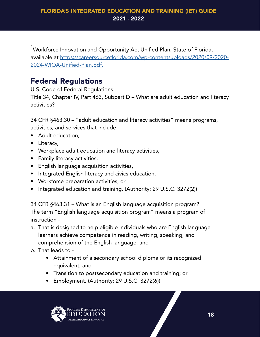<span id="page-19-0"></span><sup>1</sup>Workforce Innovation and Opportunity Act Unified Plan, State of Florida, available at [https://careersourceflorida.com/wp-content/uploads/2020/09/2020-](https://careersourceflorida.com/wp-content/uploads/2020/09/2020-2024-WIOA-Unified-Plan.pdf) [2024-WIOA-Unified-Plan.pdf.](https://careersourceflorida.com/wp-content/uploads/2020/09/2020-2024-WIOA-Unified-Plan.pdf)

### Federal Regulations

U.S. Code of Federal Regulations

Title 34, Chapter IV, Part 463, Subpart D – What are adult education and literacy activities?

34 CFR §463.30 – "adult education and literacy activities" means programs, activities, and services that include:

- Adult education,
- Literacy,
- Workplace adult education and literacy activities,
- Family literacy activities,
- English language acquisition activities,
- Integrated English literacy and civics education,
- Workforce preparation activities, or
- Integrated education and training. (Authority: 29 U.S.C. 3272(2))

34 CFR §463.31 – What is an English language acquisition program? The term "English language acquisition program" means a program of instruction -

- a. That is designed to help eligible individuals who are English language learners achieve competence in reading, writing, speaking, and comprehension of the English language; and
- b. That leads to
	- Attainment of a secondary school diploma or its recognized equivalent; and
	- Transition to postsecondary education and training; or
	- Employment. (Authority: 29 U.S.C. 3272(6))

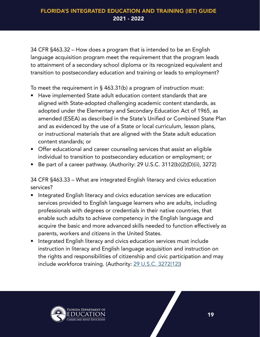34 CFR §463.32 – How does a program that is intended to be an English language acquisition program meet the requirement that the program leads to attainment of a secondary school diploma or its recognized equivalent and transition to postsecondary education and training or leads to employment?

To meet the requirement in § 463.31(b) a program of instruction must:

- Have implemented State adult education content standards that are aligned with State-adopted challenging academic content standards, as adopted under the Elementary and Secondary Education Act of 1965, as amended (ESEA) as described in the State's Unified or Combined State Plan and as evidenced by the use of a State or local curriculum, lesson plans, or instructional materials that are aligned with the State adult education content standards; or
- Offer educational and career counseling services that assist an eligible individual to transition to postsecondary education or employment; or
- Be part of a career pathway. (Authority: 29 U.S.C. 3112(b)(2)(D)(ii), 3272)

34 CFR §463.33 – What are integrated English literacy and civics education services?

- Integrated English literacy and civics education services are education services provided to English language learners who are adults, including professionals with degrees or credentials in their native countries, that enable such adults to achieve competency in the English language and acquire the basic and more advanced skills needed to function effectively as parents, workers and citizens in the United States.
- Integrated English literacy and civics education services must include instruction in literacy and English language acquisition and instruction on the rights and responsibilities of citizenship and civic participation and may include workforce training. (Authority: [29 U.S.C. 3272\(12\)](https://www.law.cornell.edu/uscode/text/29/3272#11))

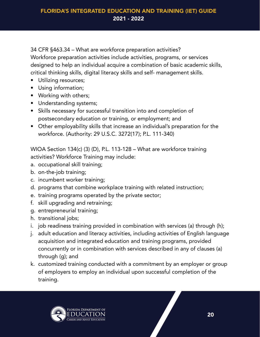34 CFR §463.34 – What are workforce preparation activities?

Workforce preparation activities include activities, programs, or services designed to help an individual acquire a combination of basic academic skills, critical thinking skills, digital literacy skills and self- management skills.

- Utilizing resources;
- Using information;
- Working with others;
- Understanding systems;
- Skills necessary for successful transition into and completion of postsecondary education or training, or employment; and
- Other employability skills that increase an individual's preparation for the workforce. (Authority: 29 U.S.C. 3272(17); P.L. 111-340)

WIOA Section 134(c) (3) (D), P.L. 113-128 – What are workforce training activities? Workforce Training may include:

- a. occupational skill training;
- b. on-the-job training;
- c. incumbent worker training;
- d. programs that combine workplace training with related instruction;
- e. training programs operated by the private sector;
- f. skill upgrading and retraining;
- g. entrepreneurial training;
- h. transitional jobs;
- i. job readiness training provided in combination with services (a) through (h);
- j. adult education and literacy activities, including activities of English language acquisition and integrated education and training programs, provided concurrently or in combination with services described in any of clauses (a) through (g); and
- k. customized training conducted with a commitment by an employer or group of employers to employ an individual upon successful completion of the training.

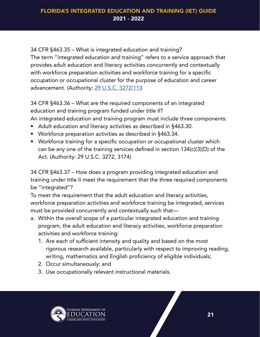34 CFR §463.35 – What is integrated education and training? The term "integrated education and training" refers to a service approach that provides adult education and literacy activities concurrently and contextually with workforce preparation activities and workforce training for a specific occupation or occupational cluster for the purpose of education and career advancement. (Authority: [29 U.S.C. 3272\(11\)\)](https://www.law.cornell.edu/uscode/text/29/3272#)

34 CFR §463.36 – What are the required components of an integrated education and training program funded under title II?

An integrated education and training program must include three components:

- Adult education and literacy activities as described in §463.30.
- Workforce preparation activities as described in §463.34.
- Workforce training for a specific occupation or occupational cluster which can be any one of the training services defined in section 134(c)(3)(D) of the Act. (Authority: 29 U.S.C. 3272, 3174)

34 CFR §463.37 – How does a program providing integrated education and training under title II meet the requirement that the three required components be "integrated"?

To meet the requirement that the adult education and literacy activities, workforce preparation activities and workforce training be integrated, services must be provided concurrently and contextually such that—

- a. Within the overall scope of a particular integrated education and training program, the adult education and literacy activities, workforce preparation activities and workforce training:
	- 1. Are each of sufficient intensity and quality and based on the most rigorous research available, particularly with respect to improving reading, writing, mathematics and English proficiency of eligible individuals;
	- 2. Occur simultaneously; and
	- 3. Use occupationally relevant instructional materials.